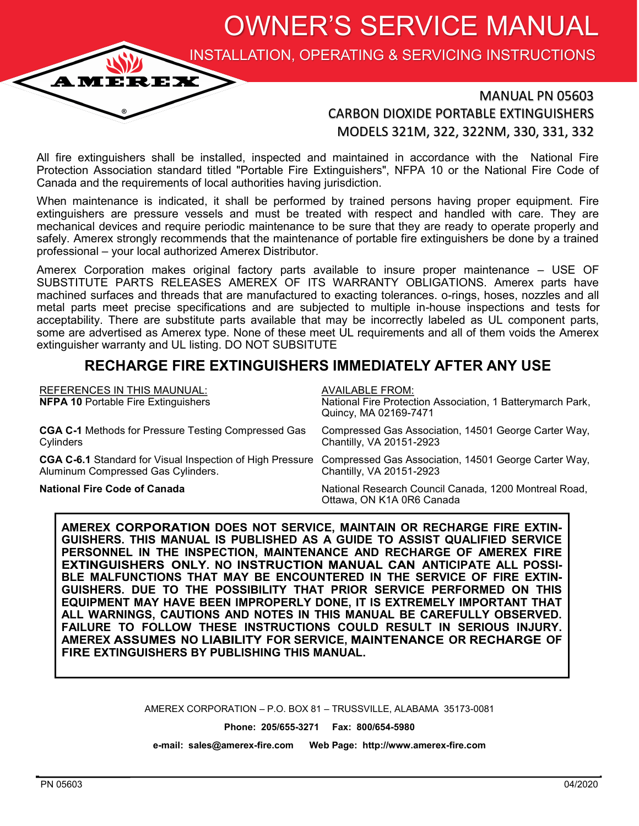OWNER'S SERVICE MANUAL

INSTALLATION, OPERATING & SERVICING INSTRUCTIONS

### MANUAL PN 05603 CARBON DIOXIDE PORTABLE EXTINGUISHERS MODELS 321M, 322, 322NM, 330, 331, 332

All fire extinguishers shall be installed, inspected and maintained in accordance with the National Fire Protection Association standard titled "Portable Fire Extinguishers", NFPA 10 or the National Fire Code of Canada and the requirements of local authorities having jurisdiction.

When maintenance is indicated, it shall be performed by trained persons having proper equipment. Fire extinguishers are pressure vessels and must be treated with respect and handled with care. They are mechanical devices and require periodic maintenance to be sure that they are ready to operate properly and safely. Amerex strongly recommends that the maintenance of portable fire extinguishers be done by a trained professional – your local authorized Amerex Distributor.

Amerex Corporation makes original factory parts available to insure proper maintenance – USE OF SUBSTITUTE PARTS RELEASES AMEREX OF ITS WARRANTY OBLIGATIONS. Amerex parts have machined surfaces and threads that are manufactured to exacting tolerances. o-rings, hoses, nozzles and all metal parts meet precise specifications and are subjected to multiple in-house inspections and tests for acceptability. There are substitute parts available that may be incorrectly labeled as UL component parts, some are advertised as Amerex type. None of these meet UL requirements and all of them voids the Amerex extinguisher warranty and UL listing. DO NOT SUBSITUTE

## **RECHARGE FIRE EXTINGUISHERS IMMEDIATELY AFTER ANY USE**

| <b>REFERENCES IN THIS MAUNUAL:</b><br><b>NFPA 10 Portable Fire Extinguishers</b>                                                                     | <b>AVAILABLE FROM:</b><br>National Fire Protection Association, 1 Batterymarch Park,<br>Quincy, MA 02169-7471 |
|------------------------------------------------------------------------------------------------------------------------------------------------------|---------------------------------------------------------------------------------------------------------------|
| <b>CGA C-1</b> Methods for Pressure Testing Compressed Gas<br>Cylinders                                                                              | Compressed Gas Association, 14501 George Carter Way,<br>Chantilly, VA 20151-2923                              |
| CGA C-6.1 Standard for Visual Inspection of High Pressure Compressed Gas Association, 14501 George Carter Way,<br>Aluminum Compressed Gas Cylinders. | Chantilly, VA 20151-2923                                                                                      |
| <b>National Fire Code of Canada</b>                                                                                                                  | National Research Council Canada, 1200 Montreal Road,<br>Ottawa, ON K1A 0R6 Canada                            |

AMEREX CORPORATION DOES NOT SERVICE, MAINTAIN OR RECHARGE FIRE EXTIN-**GUISHERS. THIS MANUAL IS PUBLISHED AS A GUIDE TO ASSIST QUALIFIED SERVICE PERSONNEL IN THE INSPECTION, MAINTENANCE AND RECHARGE OF AMEREX EXTINGUISHERS ONLY. NO INSTRUCTION MANUAL CAN ANTICIPATE ALL POSSI-BLE MALFUNCTIONS THAT MAY BE ENCOUNTERED IN THE SERVICE OF FIRE EXTIN-GUISHERS. DUE TO THE POSSIBILITY THAT PRIOR SERVICE PERFORMED ON THIS EQUIPMENT MAY HAVE BEEN IMPROPERLY DONE, IT IS EXTREMELY IMPORTANT THAT ALL WARNINGS, CAUTIONS AND NOTES IN THIS MANUAL BE CAREFULLY OBSERVED. FAILURE TO FOLLOW THESE INSTRUCTIONS COULD RESULT IN SERIOUS INJURY. AMEREX ASSUMES NO LIABILITY FOR SERVICE, MAINTENANCE OR RECHARGE OF FIRE EXTINGUISHERS BY PUBLISHING THIS MANUAL.** 

AMEREX CORPORATION – P.O. BOX 81 – TRUSSVILLE, ALABAMA 35173-0081

**Phone: 205/655-3271 Fax: 800/654-5980**

**e-mail: sales@amerex-fire.com Web Page: http://www.amerex-fire.com**

**AMEREX**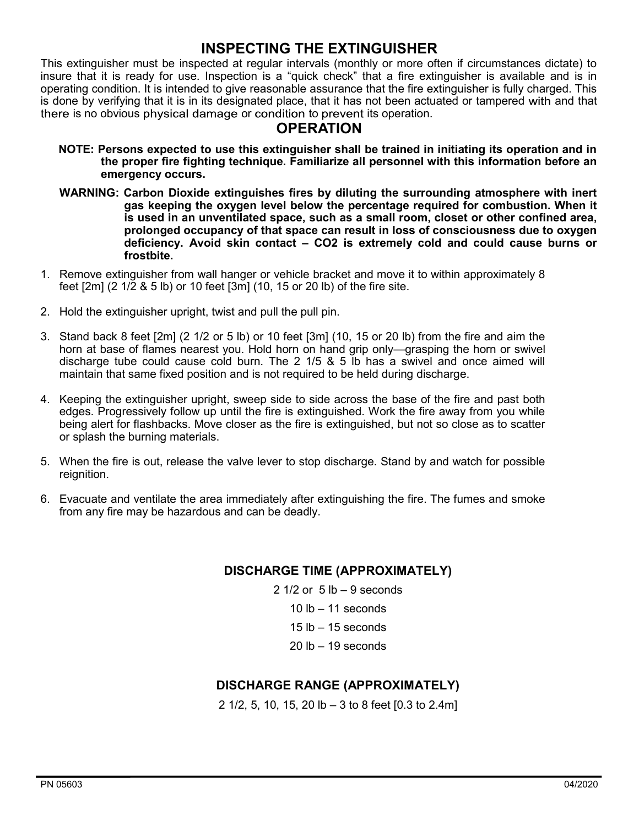### **INSPECTING THE EXTINGUISHER**

This extinguisher must be inspected at regular intervals (monthly or more often if circumstances dictate) to insure that it is ready for use. Inspection is a "quick check" that a fire extinguisher is available and is in operating condition. It is intended to give reasonable assurance that the fire extinguisher is fully charged. This is done by verifying that it is in its designated place, that it has not been actuated or tampered with and that there is no obvious physical damage or condition to prevent its operation.

#### **OPERATION**

- **NOTE: Persons expected to use this extinguisher shall be trained in initiating its operation and in the proper fire fighting technique. Familiarize all personnel with this information before an emergency occurs.**
- **WARNING: Carbon Dioxide extinguishes fires by diluting the surrounding atmosphere with inert gas keeping the oxygen level below the percentage required for combustion. When it is used in an unventilated space, such as a small room, closet or other confined area, prolonged occupancy of that space can result in loss of consciousness due to oxygen deficiency. Avoid skin contact – CO2 is extremely cold and could cause burns or frostbite.**
- 1. Remove extinguisher from wall hanger or vehicle bracket and move it to within approximately 8 feet [2m] (2 1/2 & 5 lb) or 10 feet [3m] (10, 15 or 20 lb) of the fire site.
- 2. Hold the extinguisher upright, twist and pull the pull pin.
- 3. Stand back 8 feet [2m] (2 1/2 or 5 lb) or 10 feet [3m] (10, 15 or 20 lb) from the fire and aim the horn at base of flames nearest you. Hold horn on hand grip only—grasping the horn or swivel discharge tube could cause cold burn. The 2 1/5 & 5 lb has a swivel and once aimed will maintain that same fixed position and is not required to be held during discharge.
- 4. Keeping the extinguisher upright, sweep side to side across the base of the fire and past both edges. Progressively follow up until the fire is extinguished. Work the fire away from you while being alert for flashbacks. Move closer as the fire is extinguished, but not so close as to scatter or splash the burning materials.
- 5. When the fire is out, release the valve lever to stop discharge. Stand by and watch for possible reignition.
- 6. Evacuate and ventilate the area immediately after extinguishing the fire. The fumes and smoke from any fire may be hazardous and can be deadly.

#### **DISCHARGE TIME (APPROXIMATELY)**

 $1/2$  or  $5$  lb  $-9$  seconds  $lb - 11$  seconds  $lb - 15$  seconds lb  $-19$  seconds

#### **DISCHARGE RANGE (APPROXIMATELY)**

2 1/2, 5, 10, 15, 20 lb – 3 to 8 feet [0.3 to 2.4m]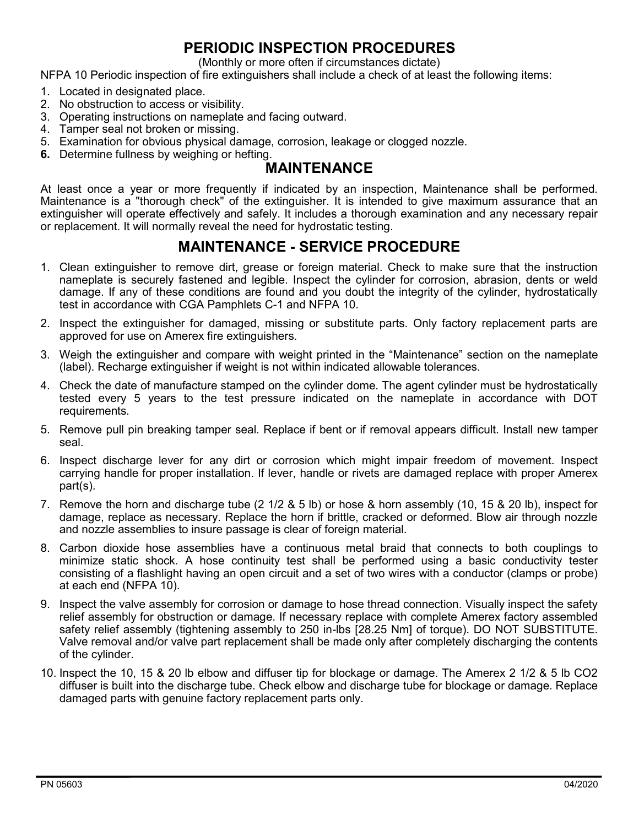# **PERIODIC INSPECTION PROCEDURES**

(Monthly or more often if circumstances dictate)

NFPA 10 Periodic inspection of fire extinguishers shall include a check of at least the following items:

- 1. Located in designated place.
- 2. No obstruction to access or visibility.
- 3. Operating instructions on nameplate and facing outward.
- 4. Tamper seal not broken or missing.
- 5. Examination for obvious physical damage, corrosion, leakage or clogged nozzle.
- **6.** Determine fullness by weighing or hefting.

#### **MAINTENANCE**

At least once a year or more frequently if indicated by an inspection, Maintenance shall be performed. Maintenance is a "thorough check" of the extinguisher. It is intended to give maximum assurance that an extinguisher will operate effectively and safely. It includes a thorough examination and any necessary repair or replacement. It will normally reveal the need for hydrostatic testing.

### **MAINTENANCE - SERVICE PROCEDURE**

- 1. Clean extinguisher to remove dirt, grease or foreign material. Check to make sure that the instruction nameplate is securely fastened and legible. Inspect the cylinder for corrosion, abrasion, dents or weld damage. If any of these conditions are found and you doubt the integrity of the cylinder, hydrostatically test in accordance with CGA Pamphlets C-1 and NFPA 10.
- 2. Inspect the extinguisher for damaged, missing or substitute parts. Only factory replacement parts are approved for use on Amerex fire extinguishers.
- 3. Weigh the extinguisher and compare with weight printed in the "Maintenance" section on the nameplate (label). Recharge extinguisher if weight is not within indicated allowable tolerances.
- 4. Check the date of manufacture stamped on the cylinder dome. The agent cylinder must be hydrostatically tested every 5 years to the test pressure indicated on the nameplate in accordance with DOT requirements.
- 5. Remove pull pin breaking tamper seal. Replace if bent or if removal appears difficult. Install new tamper seal.
- 6. Inspect discharge lever for any dirt or corrosion which might impair freedom of movement. Inspect carrying handle for proper installation. If lever, handle or rivets are damaged replace with proper Amerex part(s).
- 7. Remove the horn and discharge tube (2 1/2 & 5 lb) or hose & horn assembly (10, 15 & 20 lb), inspect for damage, replace as necessary. Replace the horn if brittle, cracked or deformed. Blow air through nozzle and nozzle assemblies to insure passage is clear of foreign material.
- 8. Carbon dioxide hose assemblies have a continuous metal braid that connects to both couplings to minimize static shock. A hose continuity test shall be performed using a basic conductivity tester consisting of a flashlight having an open circuit and a set of two wires with a conductor (clamps or probe) at each end (NFPA 10).
- 9. Inspect the valve assembly for corrosion or damage to hose thread connection. Visually inspect the safety relief assembly for obstruction or damage. If necessary replace with complete Amerex factory assembled safety relief assembly (tightening assembly to 250 in-lbs [28.25 Nm] of torque). DO NOT SUBSTITUTE. Valve removal and/or valve part replacement shall be made only after completely discharging the contents of the cylinder.
- 10. Inspect the 10, 15 & 20 lb elbow and diffuser tip for blockage or damage. The Amerex 2 1/2 & 5 lb CO2 diffuser is built into the discharge tube. Check elbow and discharge tube for blockage or damage. Replace damaged parts with genuine factory replacement parts only.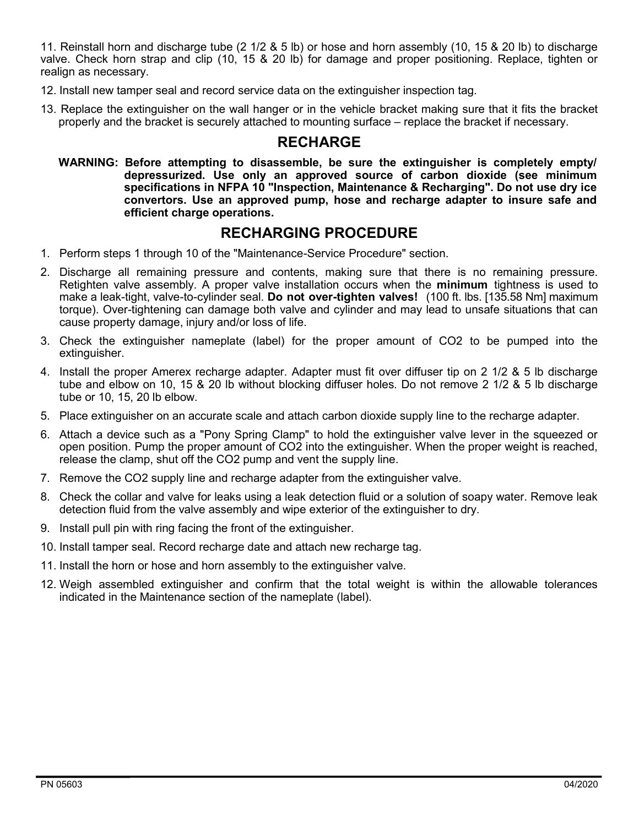11. Reinstall horn and discharge tube (2 1/2 & 5 lb) or hose and horn assembly (10, 15 & 20 lb) to discharge valve. Check horn strap and clip (10, 15 & 20 lb) for damage and proper positioning. Replace, tighten or realign as necessary.

- 12. Install new tamper seal and record service data on the extinguisher inspection tag.
- 13. Replace the extinguisher on the wall hanger or in the vehicle bracket making sure that it fits the bracket properly and the bracket is securely attached to mounting surface – replace the bracket if necessary.

## **RECHARGE**

**WARNING: Before attempting to disassemble, be sure the extinguisher is completely empty/ depressurized. Use only an approved source of carbon dioxide (see minimum specifications in NFPA 10 "Inspection, Maintenance & Recharging". Do not use dry ice convertors. Use an approved pump, hose and recharge adapter to insure safe and efficient charge operations.**

#### **RECHARGING PROCEDURE**

- 1. Perform steps 1 through 10 of the "Maintenance-Service Procedure" section.
- 2. Discharge all remaining pressure and contents, making sure that there is no remaining pressure. Retighten valve assembly. A proper valve installation occurs when the **minimum** tightness is used to make a leak-tight, valve-to-cylinder seal. **Do not over-tighten valves!** (100 ft. lbs. [135.58 Nm] maximum torque). Over-tightening can damage both valve and cylinder and may lead to unsafe situations that can cause property damage, injury and/or loss of life.
- 3. Check the extinguisher nameplate (label) for the proper amount of CO2 to be pumped into the extinguisher.
- 4. Install the proper Amerex recharge adapter. Adapter must fit over diffuser tip on 2 1/2 & 5 lb discharge tube and elbow on 10, 15 & 20 lb without blocking diffuser holes. Do not remove 2 1/2 & 5 lb discharge tube or 10, 15, 20 lb elbow.
- 5. Place extinguisher on an accurate scale and attach carbon dioxide supply line to the recharge adapter.
- 6. Attach a device such as a "Pony Spring Clamp" to hold the extinguisher valve lever in the squeezed or open position. Pump the proper amount of CO2 into the extinguisher. When the proper weight is reached, release the clamp, shut off the CO2 pump and vent the supply line.
- 7. Remove the CO2 supply line and recharge adapter from the extinguisher valve.
- 8. Check the collar and valve for leaks using a leak detection fluid or a solution of soapy water. Remove leak detection fluid from the valve assembly and wipe exterior of the extinguisher to dry.
- 9. Install pull pin with ring facing the front of the extinguisher.
- 10. Install tamper seal. Record recharge date and attach new recharge tag.
- 11. Install the horn or hose and horn assembly to the extinguisher valve.
- 12. Weigh assembled extinguisher and confirm that the total weight is within the allowable tolerances indicated in the Maintenance section of the nameplate (label).